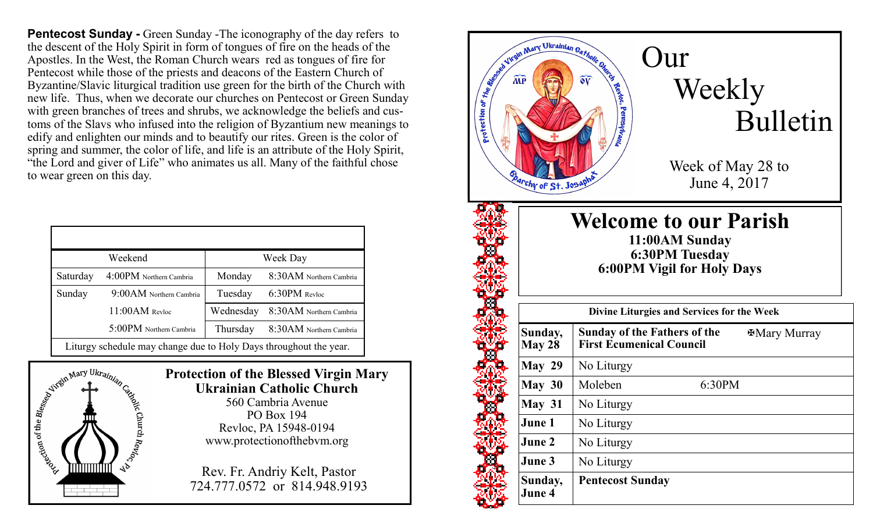**Pentecost Sunday -** Green Sunday - The iconography of the day refers to the descent of the Holy Spirit in form of tongues of fire on the heads of the Apostles. In the West, the Roman Church wears red as tongues of fire for Pentecost while those of the priests and deacons of the Eastern Church of Byzantine/Slavic liturgical tradition use green for the birth of the Church with new life. Thus, when we decorate our churches on Pentecost or Green Sunday with green branches of trees and shrubs, we acknowledge the beliefs and customs of the Slavs who infused into the religion of Byzantium new meanings to edify and enlighten our minds and to beautify our rites. Green is the color of spring and summer, the color of life, and life is an attribute of the Holy Spirit, "the Lord and giver of Life" who animates us all. Many of the faithful chose to wear green on this day.

| Weekend                                                          |                         | Week Day  |                         |
|------------------------------------------------------------------|-------------------------|-----------|-------------------------|
| Saturday                                                         | 4:00PM Northern Cambria | Monday    | 8:30AM Northern Cambria |
| Sunday                                                           | 9:00AM Northern Cambria | Tuesday   | 6:30PM Revloc           |
|                                                                  | 11:00AM Revloc          | Wednesday | 8:30AM Northern Cambria |
|                                                                  | 5:00PM Northern Cambria | Thursday  | 8:30AM Northern Cambria |
| Liturgy schodule may change due to Hely Dave throughout the year |                         |           |                         |

Liturgy schedule may change due to Holy Days throughout the year.



**Protection of the Blessed Virgin Mary Ukrainian Catholic Church** 560 Cambria Avenue PO Box 194 Revloc, PA 15948-0194

www.protectionofthebvm.org

Rev. Fr. Andriy Kelt, Pastor 724.777.0572 or 814.948.9193